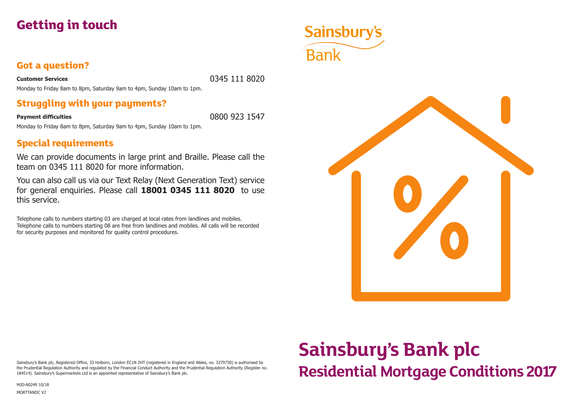

### **Got a question?**

**Customer Services** 0345 111 8020

Monday to Friday 8am to 8pm, Saturday 9am to 4pm, Sunday 10am to 1pm.

### **Struggling with your payments?**

**Payment difficulties** 0800 923 1547

Monday to Friday 8am to 8pm, Saturday 9am to 4pm, Sunday 10am to 1pm.

### **Special requirements**

We can provide documents in large print and Braille. Please call the team on 0345 111 8020 for more information.

You can also call us via our Text Relay (Next Generation Text) service for general enquiries. Please call **18001 0345 111 8020** to use this service.

Telephone calls to numbers starting 03 are charged at local rates from landlines and mobiles. Telephone calls to numbers starting 08 are free from landlines and mobiles. All calls will be recorded for security purposes and monitored for quality control procedures.



Sainsbury's Bank plc, Registered Office, 33 Holborn, London EC1N 2HT (registered in England and Wales, no. 3279730) is authorised by the Prudential Regulation Authority and regulated by the Financial Conduct Authority and the Prudential Regulation Authority (Register no. 184514). Sainsbury's Supermarkets Ltd is an appointed representative of Sainsbury's Bank plc.

MJD-A0249 10/18

MORTTANDC V2

# **Sainsbury's Bank plc Residential Mortgage Conditions 2017**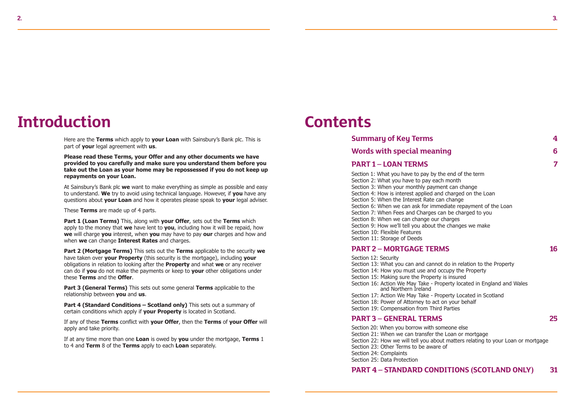## **Introduction**

Here are the **Terms** which apply to **your Loan** with Sainsbury's Bank plc. This is part of **your** legal agreement with **us**.

**Please read these Terms, your Offer and any other documents we have provided to you carefully and make sure you understand them before you take out the Loan as your home may be repossessed if you do not keep up repayments on your Loan.**

At Sainsbury's Bank plc **we** want to make everything as simple as possible and easy to understand. **We** try to avoid using technical language. However, if **you** have any questions about **your Loan** and how it operates please speak to **your** legal adviser.

These **Terms** are made up of 4 parts.

**Part 1 (Loan Terms)** This, along with **your Offer**, sets out the **Terms** which apply to the money that **we** have lent to **you**, including how it will be repaid, how **we** will charge **you** interest, when **you** may have to pay **our** charges and how and when **we** can change **Interest Rates** and charges.

**Part 2 (Mortgage Terms)** This sets out the **Terms** applicable to the security **we** have taken over **your Property** (this security is the mortgage), including **your** obligations in relation to looking after the **Property** and what **we** or any receiver can do if **you** do not make the payments or keep to **your** other obligations under these **Terms** and the **Offer**.

**Part 3 (General Terms)** This sets out some general **Terms** applicable to the relationship between **you** and **us**.

**Part 4 (Standard Conditions – Scotland only)** This sets out a summary of certain conditions which apply if **your Property** is located in Scotland.

If any of these **Terms** conflict with **your Offer**, then the **Terms** of **your Offer** will apply and take priority.

If at any time more than one **Loan** is owed by **you** under the mortgage, **Terms** 1 to 4 and **Term** 8 of the **Terms** apply to each **Loan** separately.

### **Contents**

| <b>Summary of Key Terms</b>                                                                                                                                                                                                                                                                                                                                                                                                                                                                                                                                                |   |
|----------------------------------------------------------------------------------------------------------------------------------------------------------------------------------------------------------------------------------------------------------------------------------------------------------------------------------------------------------------------------------------------------------------------------------------------------------------------------------------------------------------------------------------------------------------------------|---|
| <b>Words with special meaning</b>                                                                                                                                                                                                                                                                                                                                                                                                                                                                                                                                          | 6 |
| <b>PART 1 - LOAN TERMS</b>                                                                                                                                                                                                                                                                                                                                                                                                                                                                                                                                                 | 7 |
| Section 1: What you have to pay by the end of the term<br>Section 2: What you have to pay each month<br>Section 3: When your monthly payment can change<br>Section 4: How is interest applied and charged on the Loan<br>Section 5: When the Interest Rate can change<br>Section 6: When we can ask for immediate repayment of the Loan<br>Section 7: When Fees and Charges can be charged to you<br>Section 8: When we can change our charges<br>Section 9: How we'll tell you about the changes we make<br>Section 10: Flexible Features<br>Section 11: Storage of Deeds |   |

#### **PART 2 – MORTGAGE TERMS 16**

Section 12: Security Section 13: What you can and cannot do in relation to the Property Section 14: How you must use and occupy the Property Section 15: Making sure the Property is insured Section 16: Action We May Take - Property located in England and Wales and Northern Ireland Section 17: Action We May Take - Property Located in Scotland Section 18: Power of Attorney to act on your behalf Section 19: Compensation from Third Parties

#### **PART 3 – GENERAL TERMS 25**

Section 20: When you borrow with someone else Section 21: When we can transfer the Loan or mortgage Section 22: How we will tell you about matters relating to your Loan or mortgage Section 23: Other Terms to be aware of Section 24: Complaints Section 25: Data Protection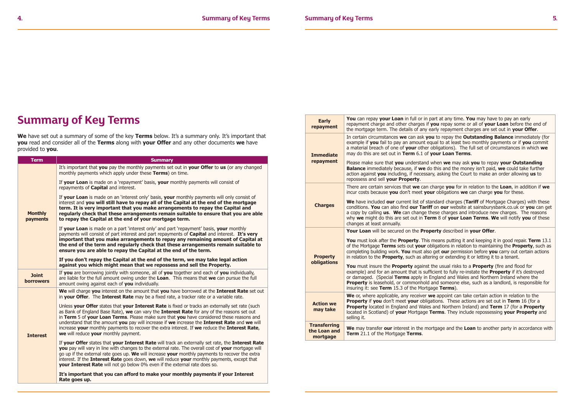### **Summary of Key Terms**

We have set out a summary of some of the key Terms below. It's a summary only. It's important that **you** read and consider all of the **Terms** along with **your Offer** and any other documents **we** have provided to **you**.

| <b>Term</b>                      | <b>Summary</b>                                                                                                                                                                                                                                                                                                                                                                                                                                                                                                                         |
|----------------------------------|----------------------------------------------------------------------------------------------------------------------------------------------------------------------------------------------------------------------------------------------------------------------------------------------------------------------------------------------------------------------------------------------------------------------------------------------------------------------------------------------------------------------------------------|
|                                  | It's important that you pay the monthly payments set out in your Offer to us (or any changed<br>monthly payments which apply under these Terms) on time.                                                                                                                                                                                                                                                                                                                                                                               |
|                                  | If your Loan is made on a 'repayment' basis, your monthly payments will consist of<br>repayments of <b>Capital</b> and interest.                                                                                                                                                                                                                                                                                                                                                                                                       |
| <b>Monthly</b><br>payments       | If your Loan is made on an 'interest only' basis, your monthly payments will only consist of<br>interest and you will still have to repay all of the Capital at the end of the mortgage<br>term. It is very important that you make arrangements to repay the Capital and<br>regularly check that these arrangements remain suitable to ensure that you are able<br>to repay the Capital at the end of your mortgage term.                                                                                                             |
|                                  | If your Loan is made on a part 'interest only' and part 'repayment' basis, your monthly<br>payments will consist of part interest and part repayments of <b>Capital</b> and interest. It's very<br>important that you make arrangements to repay any remaining amount of Capital at<br>the end of the term and regularly check that these arrangements remain suitable to<br>ensure you are able to repay the Capital at the end of the term.                                                                                          |
|                                  | If you don't repay the Capital at the end of the term, we may take legal action<br>against you which might mean that we repossess and sell the Property.                                                                                                                                                                                                                                                                                                                                                                               |
| <b>Joint</b><br><b>borrowers</b> | If you are borrowing jointly with someone, all of you together and each of you individually,<br>are liable for the full amount owing under the Loan. This means that we can pursue the full<br>amount owing against each of you individually.                                                                                                                                                                                                                                                                                          |
|                                  | We will charge you interest on the amount that you have borrowed at the Interest Rate set out<br>in your Offer. The Interest Rate may be a fixed rate, a tracker rate or a variable rate.                                                                                                                                                                                                                                                                                                                                              |
| <b>Interest</b>                  | Unless your Offer states that your Interest Rate is fixed or tracks an externally set rate (such<br>as Bank of England Base Rate), we can vary the Interest Rate for any of the reasons set out<br>in Term 5 of your Loan Terms. Please make sure that you have considered these reasons and<br>understand that the amount you pay will increase if we increase the Interest Rate and we will<br>increase your monthly payments to recover the extra interest. If we reduce the Interest Rate,<br>we will reduce your monthly payment. |
|                                  | If your Offer states that your Interest Rate will track an externally set rate, the Interest Rate<br>you pay will vary in line with changes to the external rate. The overall cost of your mortgage will<br>go up if the external rate goes up. We will increase your monthly payments to recover the extra<br>interest. If the Interest Rate goes down, we will reduce your monthly payments, except that<br><b>your Interest Rate</b> will not go below 0% even if the external rate does so.                                        |
|                                  | It's important that you can afford to make your monthly payments if your Interest<br>Rate goes up.                                                                                                                                                                                                                                                                                                                                                                                                                                     |

| <b>Early</b><br>repayment                       | You can repay your Loan in full or in part at any time. You may have to pay an early<br>repayment charge and other charges if you repay some or all of your Loan before the end of<br>the mortgage term. The details of any early repayment charges are set out in your Offer.                                                                                                                                                                                               |
|-------------------------------------------------|------------------------------------------------------------------------------------------------------------------------------------------------------------------------------------------------------------------------------------------------------------------------------------------------------------------------------------------------------------------------------------------------------------------------------------------------------------------------------|
| <b>Immediate</b>                                | In certain circumstances we can ask you to repay the Outstanding Balance immediately (for<br>example if you fail to pay an amount equal to at least two monthly payments or if you commit<br>a material breach of one of your other obligations). The full set of circumstances in which we<br>may do this are set out in Term 6.1 of your Loan Terms.                                                                                                                       |
| repayment                                       | Please make sure that you understand when we may ask you to repay your Outstanding<br><b>Balance</b> immediately because, if we do this and the money isn't paid, we could take further<br>action against you including, if necessary, asking the Court to make an order allowing us to<br>repossess and sell your Property.                                                                                                                                                 |
|                                                 | There are certain services that we can charge you for in relation to the Loan, in addition if we<br>incur costs because you don't meet your obligations we can charge you for these.                                                                                                                                                                                                                                                                                         |
| <b>Charges</b>                                  | We have included our current list of standard charges (Tariff of Mortgage Charges) with these<br>conditions. You can also find our Tariff on our website at sainsburysbank.co.uk or you can get<br>a copy by calling us. We can change these charges and introduce new charges. The reasons<br>why we might do this are set out in Term 8 of your Loan Terms. We will notify you of these<br>changes at least annually.                                                      |
|                                                 | Your Loan will be secured on the Property described in your Offer.                                                                                                                                                                                                                                                                                                                                                                                                           |
| <b>Property</b>                                 | <b>You</b> must look after the <b>Property</b> . This means putting it and keeping it in good repair. <b>Term</b> 13.1<br>of the Mortgage Terms sets out your obligations in relation to maintaining the Property, such as<br>completing building work. You must also get our permission before you carry out certain actions<br>in relation to the <b>Property</b> , such as altering or extending it or letting it to a tenant.                                            |
| obligations                                     | <b>You</b> must insure the <b>Property</b> against the usual risks to a <b>Property</b> (fire and flood for<br>example) and for an amount that is sufficient to fully re-instate the <b>Property</b> if it's destroyed<br>or damaged. (Special Terms apply in England and Wales and Northern Ireland where the<br><b>Property</b> is leasehold, or commonhold and someone else, such as a landlord, is responsible for<br>insuring it: see Term 15.3 of the Mortgage Terms). |
| <b>Action we</b><br>may take                    | We or, where applicable, any receiver we appoint can take certain action in relation to the<br><b>Property if you</b> don't meet your obligations. These actions are set out in Term 16 (for a<br><b>Property</b> located in England and Wales and Northern Ireland) and Term 17 (for a Property<br>located in Scotland) of your Mortgage Terms. They include repossessing your Property and<br>selling it.                                                                  |
| <b>Transferring</b><br>the Loan and<br>mortgage | We may transfer our interest in the mortgage and the Loan to another party in accordance with<br>Term 21.1 of the Mortgage Terms.                                                                                                                                                                                                                                                                                                                                            |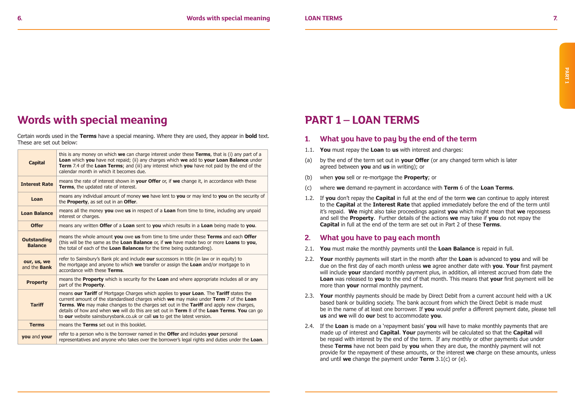### **Words with special meaning**

Certain words used in the **Terms** have a special meaning. Where they are used, they appear in **bold** text. These are set out below:

| <b>Capital</b>                       | this is any money on which we can charge interest under these Terms, that is (i) any part of a<br><b>Loan</b> which you have not repaid; (ii) any charges which we add to your Loan Balance under<br><b>Term</b> 7.4 of the Loan Terms; and (iii) any interest which you have not paid by the end of the<br>calendar month in which it becomes due.                                                                                                                 |
|--------------------------------------|---------------------------------------------------------------------------------------------------------------------------------------------------------------------------------------------------------------------------------------------------------------------------------------------------------------------------------------------------------------------------------------------------------------------------------------------------------------------|
| <b>Interest Rate</b>                 | means the rate of interest shown in your Offer or, if we change it, in accordance with these<br>Terms, the updated rate of interest.                                                                                                                                                                                                                                                                                                                                |
| Loan                                 | means any individual amount of money we have lent to you or may lend to you on the security of<br>the <b>Property</b> , as set out in an <b>Offer</b> .                                                                                                                                                                                                                                                                                                             |
| <b>Loan Balance</b>                  | means all the money you owe us in respect of a Loan from time to time, including any unpaid<br>interest or charges.                                                                                                                                                                                                                                                                                                                                                 |
| <b>Offer</b>                         | means any written Offer of a Loan sent to you which results in a Loan being made to you.                                                                                                                                                                                                                                                                                                                                                                            |
| <b>Outstanding</b><br><b>Balance</b> | means the whole amount you owe us from time to time under these Terms and each Offer<br>(this will be the same as the Loan Balance or, if we have made two or more Loans to you,<br>the total of each of the Loan Balances for the time being outstanding).                                                                                                                                                                                                         |
| our, us, we<br>and the <b>Bank</b>   | refer to Sainsbury's Bank plc and include our successors in title (in law or in equity) to<br>the mortgage and anyone to which we transfer or assign the Loan and/or mortgage to in<br>accordance with these Terms.                                                                                                                                                                                                                                                 |
| <b>Property</b>                      | means the <b>Property</b> which is security for the <b>Loan</b> and where appropriate includes all or any<br>part of the <b>Property.</b>                                                                                                                                                                                                                                                                                                                           |
| <b>Tariff</b>                        | means our Tariff of Mortgage Charges which applies to your Loan. The Tariff states the<br>current amount of the standardised charges which we may make under Term 7 of the Loan<br><b>Terms. We</b> may make changes to the charges set out in the <b>Tariff</b> and apply new charges,<br>details of how and when we will do this are set out in Term 8 of the Loan Terms. You can go<br>to our website sainsburysbank.co.uk or call us to get the latest version. |
| <b>Terms</b>                         | means the Terms set out in this booklet.                                                                                                                                                                                                                                                                                                                                                                                                                            |
| you and your                         | refer to a person who is the borrower named in the <b>Offer</b> and includes your personal<br>representatives and anyone who takes over the borrower's legal rights and duties under the Loan.                                                                                                                                                                                                                                                                      |

### **PART 1 – LOAN TERMS**

- **1. What you have to pay by the end of the term**
- 1.1. **You** must repay the **Loan** to **us** with interest and charges:
- (a) by the end of the term set out in **your Offer** (or any changed term which is later agreed between **you** and **us** in writing); or
- (b) when **you** sell or re-mortgage the **Property**; or
- (c) where **we** demand re-payment in accordance with **Term** 6 of the **Loan Terms**.
- 1.2. If **you** don't repay the **Capital** in full at the end of the term **we** can continue to apply interest to the **Capital** at the **Interest Rate** that applied immediately before the end of the term until it's repaid. **We** might also take proceedings against **you** which might mean that **we** repossess and sell the **Property**. Further details of the actions **we** may take if **you** do not repay the **Capital** in full at the end of the term are set out in Part 2 of these **Terms**.

### **2. What you have to pay each month**

- 2.1. **You** must make the monthly payments until the **Loan Balance** is repaid in full.
- 2.2. **Your** monthly payments will start in the month after the **Loan** is advanced to **you** and will be due on the first day of each month unless **we** agree another date with **you**. **Your** first payment will include **your** standard monthly payment plus, in addition, all interest accrued from date the **Loan** was released to **you** to the end of that month. This means that **your** first payment will be more than **your** normal monthly payment.
- 2.3. **Your** monthly payments should be made by Direct Debit from a current account held with a UK based bank or building society. The bank account from which the Direct Debit is made must be in the name of at least one borrower. If **you** would prefer a different payment date, please tell **us** and **we** will do **our** best to accommodate **you**.
- 2.4. If the **Loan** is made on a 'repayment basis' **you** will have to make monthly payments that are made up of interest and **Capital**. **Your** payments will be calculated so that the **Capital** will be repaid with interest by the end of the term. If any monthly or other payments due under these **Terms** have not been paid by **you** when they are due, the monthly payment will not provide for the repayment of these amounts, or the interest **we** charge on these amounts, unless and until **we** change the payment under **Term** 3.1(c) or (e).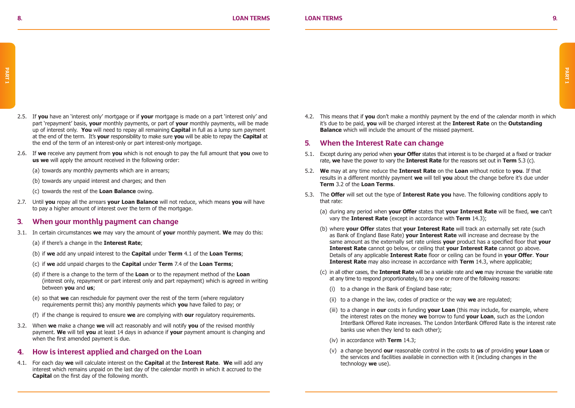- 2.5. If **you** have an 'interest only' mortgage or if **your** mortgage is made on a part 'interest only' and part 'repayment' basis, **your** monthly payments, or part of **your** monthly payments, will be made up of interest only. **You** will need to repay all remaining **Capital** in full as a lump sum payment at the end of the term. It's **your** responsibility to make sure **you** will be able to repay the **Capital** at the end of the term of an interest-only or part interest-only mortgage.
- 2.6. If **we** receive any payment from **you** which is not enough to pay the full amount that **you** owe to **us we** will apply the amount received in the following order:
	- (a) towards any monthly payments which are in arrears;
	- (b) towards any unpaid interest and charges; and then
	- (c) towards the rest of the **Loan Balance** owing.
- 2.7. Until **you** repay all the arrears **your Loan Balance** will not reduce, which means **you** will have to pay a higher amount of interest over the term of the mortgage.

### **3. When your monthly payment can change**

- 3.1. In certain circumstances **we** may vary the amount of **your** monthly payment. **We** may do this:
	- (a) if there's a change in the **Interest Rate**;
	- (b) if **we** add any unpaid interest to the **Capital** under **Term** 4.1 of the **Loan Terms**;
	- (c) if **we** add unpaid charges to the **Capital** under **Term** 7.4 of the **Loan Terms**;
	- (d) if there is a change to the term of the **Loan** or to the repayment method of the **Loan** (interest only, repayment or part interest only and part repayment) which is agreed in writing between **you** and **us**;
	- (e) so that **we** can reschedule for payment over the rest of the term (where regulatory requirements permit this) any monthly payments which **you** have failed to pay; or
	- (f) if the change is required to ensure **we** are complying with **our** regulatory requirements.
- 3.2. When **we** make a change **we** will act reasonably and will notify **you** of the revised monthly payment. **We** will tell **you** at least 14 days in advance if **your** payment amount is changing and when the first amended payment is due.

### **4. How is interest applied and charged on the Loan**

4.1. For each day **we** will calculate interest on the **Capital** at the **Interest Rate**. **We** will add any interest which remains unpaid on the last day of the calendar month in which it accrued to the **Capital** on the first day of the following month.

4.2. This means that if **you** don't make a monthly payment by the end of the calendar month in which it's due to be paid, **you** will be charged interest at the **Interest Rate** on the **Outstanding Balance** which will include the amount of the missed payment.

### **5. When the Interest Rate can change**

- 5.1. Except during any period when **your Offer** states that interest is to be charged at a fixed or tracker rate, **we** have the power to vary the **Interest Rate** for the reasons set out in **Term** 5.3 (c).
- 5.2. **We** may at any time reduce the **Interest Rate** on the **Loan** without notice to **you**. If that results in a different monthly payment **we** will tell **you** about the change before it's due under **Term** 3.2 of the **Loan Terms**.
- 5.3. The **Offer** will set out the type of **Interest Rate you** have. The following conditions apply to that rate:
	- (a) during any period when **your Offer** states that **your Interest Rate** will be fixed, **we** can't vary the **Interest Rate** (except in accordance with **Term** 14.3);
	- (b) where **your Offer** states that **your Interest Rate** will track an externally set rate (such as Bank of England Base Rate) **your Interest Rate** will increase and decrease by the same amount as the externally set rate unless **your** product has a specified floor that **your Interest Rate** cannot go below, or ceiling that **your Interest Rate** cannot go above. Details of any applicable **Interest Rate** floor or ceiling can be found in **your Offer**. **Your Interest Rate** may also increase in accordance with **Term** 14.3, where applicable;
	- (c) in all other cases, the **Interest Rate** will be a variable rate and **we** may increase the variable rate at any time to respond proportionately, to any one or more of the following reasons:
		- (i) to a change in the Bank of England base rate;
		- (ii) to a change in the law, codes of practice or the way **we** are regulated;
		- (iii) to a change in **our** costs in funding **your Loan** (this may include, for example, where the interest rates on the money **we** borrow to fund **your Loan**, such as the London InterBank Offered Rate increases. The London InterBank Offered Rate is the interest rate banks use when they lend to each other);
		- (iv) in accordance with **Term** 14.3;
		- (v) a change beyond **our** reasonable control in the costs to **us** of providing **your Loan** or the services and facilities available in connection with it (including changes in the technology **we** use).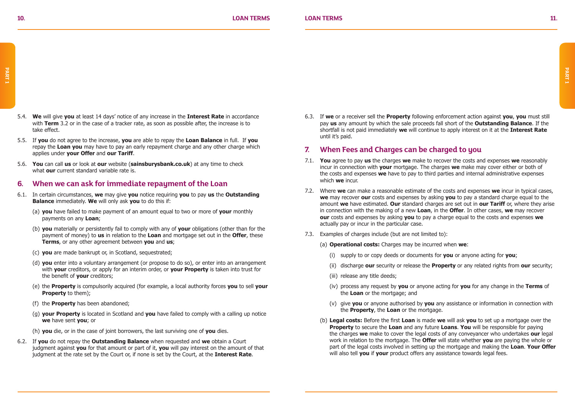- 5.4. **We** will give **you** at least 14 days' notice of any increase in the **Interest Rate** in accordance with **Term** 3.2 or in the case of a tracker rate, as soon as possible after, the increase is to take effect.
	- 5.5. If **you** do not agree to the increase, **you** are able to repay the **Loan Balance** in full. If **you** repay the **Loan you** may have to pay an early repayment charge and any other charge which applies under **your Offer** and **our Tariff**.
	- 5.6. **You** can call **us** or look at **our** website (**sainsburysbank.co.uk**) at any time to check what **our** current standard variable rate is

### **6. When we can ask for immediate repayment of the Loan**

- 6.1. In certain circumstances, **we** may give **you** notice requiring **you** to pay **us** the **Outstanding Balance** immediately. **We** will only ask **you** to do this if:
	- (a) **you** have failed to make payment of an amount equal to two or more of **your** monthly payments on any **Loan**;
	- (b) **you** materially or persistently fail to comply with any of **your** obligations (other than for the payment of money) to **us** in relation to the **Loan** and mortgage set out in the **Offer**, these **Terms**, or any other agreement between **you** and **us**;
	- (c) **you** are made bankrupt or, in Scotland, sequestrated;
	- (d) **you** enter into a voluntary arrangement (or propose to do so), or enter into an arrangement with **your** creditors, or apply for an interim order, or **your Property** is taken into trust for the benefit of **your** creditors;
	- (e) the **Property** is compulsorily acquired (for example, a local authority forces **you** to sell **your Property** to them);
	- (f) the **Property** has been abandoned;
	- (g) **your Property** is located in Scotland and **you** have failed to comply with a calling up notice **we** have sent **you**; or
	- (h) **you** die, or in the case of joint borrowers, the last surviving one of **you** dies.
- 6.2. If **you** do not repay the **Outstanding Balance** when requested and **we** obtain a Court judgment against **you** for that amount or part of it, **you** will pay interest on the amount of that judgment at the rate set by the Court or, if none is set by the Court, at the **Interest Rate**.

6.3. If **we** or a receiver sell the **Property** following enforcement action against **you**, **you** must still pay **us** any amount by which the sale proceeds fall short of the **Outstanding Balance**. If the shortfall is not paid immediately **we** will continue to apply interest on it at the **Interest Rate** until it's paid.

### **7. When Fees and Charges can be charged to you**

- 7.1. **You** agree to pay **us** the charges **we** make to recover the costs and expenses **we** reasonably incur in connection with **your** mortgage. The charges **we** make may cover either or both of the costs and expenses **we** have to pay to third parties and internal administrative expenses which **we** incur.
- 7.2. Where **we** can make a reasonable estimate of the costs and expenses **we** incur in typical cases, **we** may recover **our** costs and expenses by asking **you** to pay a standard charge equal to the amount **we** have estimated. **Our** standard charges are set out in **our Tariff** or, where they arise in connection with the making of a new **Loan**, in the **Offer**. In other cases, **we** may recover **our** costs and expenses by asking **you** to pay a charge equal to the costs and expenses **we** actually pay or incur in the particular case.
- 7.3. Examples of charges include (but are not limited to):
	- (a) **Operational costs:** Charges may be incurred when **we**:
		- (i) supply to or copy deeds or documents for **you** or anyone acting for **you**;
		- (ii) discharge **our** security or release the **Property** or any related rights from **our** security;
		- (iii) release any title deeds;
		- (iv) process any request by **you** or anyone acting for **you** for any change in the **Terms** of the **Loan** or the mortgage; and
		- (v) give **you** or anyone authorised by **you** any assistance or information in connection with the **Property**, the **Loan** or the mortgage.
	- (b) **Legal costs:** Before the first **Loan** is made **we** will ask **you** to set up a mortgage over the **Property** to secure the **Loan** and any future **Loans**. **You** will be responsible for paying the charges **we** make to cover the legal costs of any conveyancer who undertakes **our** legal work in relation to the mortgage. The **Offer** will state whether **you** are paying the whole or part of the legal costs involved in setting up the mortgage and making the **Loan**. **Your Offer** will also tell **you** if **your** product offers any assistance towards legal fees.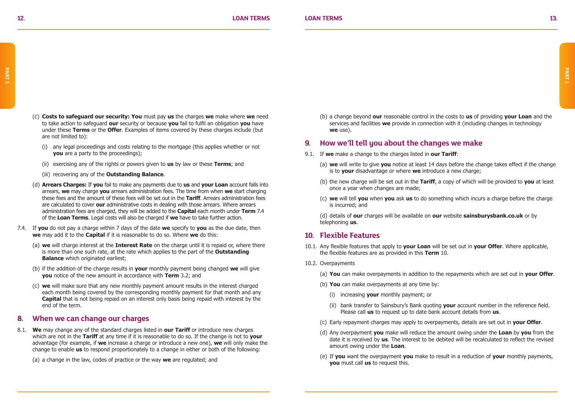- (c) **Costs to safeguard our security: You** must pay **us** the charges **we** make where **we** need to take action to safeguard **our** security or because **you** fail to fulfil an obligation **you** have under these **Terms** or the **Offer**. Examples of items covered by these charges include (but are not limited to):
	- (i) any legal proceedings and costs relating to the mortgage (this applies whether or not **you** are a party to the proceedings):
	- (ii) exercising any of the rights or powers given to **us** by law or these **Terms**; and
	- (iii) recovering any of the **Outstanding Balance**.
- (d) **Arrears Charges:** If **you** fail to make any payments due to **us** and **your Loan** account falls into arrears, **we** may charge **you** arrears administration fees. The time from when **we** start charging these fees and the amount of these fees will be set out in the **Tariff**. Arrears administration fees are calculated to cover **our** administrative costs in dealing with those arrears. Where arrears administration fees are charged, they will be added to the **Capital** each month under **Term** 7.4 of the **Loan Terms**. Legal costs will also be charged if **we** have to take further action.
- 7.4. If **you** do not pay a charge within 7 days of the date **we** specify to **you** as the due date, then **we** may add it to the **Capital** if it is reasonable to do so. Where **we** do this:
	- (a) **we** will charge interest at the **Interest Rate** on the charge until it is repaid or, where there is more than one such rate, at the rate which applies to the part of the **Outstanding Balance** which originated earliest;
	- (b) if the addition of the charge results in **your** monthly payment being changed **we** will give **you** notice of the new amount in accordance with **Term** 3.2; and
	- (c) **we** will make sure that any new monthly payment amount results in the interest charged each month being covered by the corresponding monthly payment for that month and any **Capital** that is not being repaid on an interest only basis being repaid with interest by the end of the term.

### **8. When we can change our charges**

8.1. **We** may change any of the standard charges listed in **our Tariff** or introduce new charges which are not in the **Tariff** at any time if it is reasonable to do so. If the change is not to **your** advantage (for example, if **we** increase a charge or introduce a new one), **we** will only make the change to enable **us** to respond proportionately to a change in either or both of the following:

(a) a change in the law, codes of practice or the way **we** are regulated; and

(b) a change beyond **our** reasonable control in the costs to **us** of providing **your Loan** and the services and facilities **we** provide in connection with it (including changes in technology **we** use).

### **9. How we'll tell you about the changes we make**

- 9.1. If **we** make a change to the charges listed in **our Tariff**:
	- (a) **we** will write to give **you** notice at least 14 days before the change takes effect if the change is to **your** disadvantage or where **we** introduce a new charge;
	- (b) the new charge will be set out in the **Tariff**, a copy of which will be provided to **you** at least once a year when changes are made;
	- (c) **we** will tell **you** when **you** ask **us** to do something which incurs a charge before the charge is incurred; and
	- (d) details of **our** charges will be available on **our** website **sainsburysbank.co.uk** or by telephoning **us**.

### **10. Flexible Features**

- 10.1. Any flexible features that apply to **your Loan** will be set out in **your Offer**. Where applicable, the flexible features are as provided in this **Term** 10.
- 10.2. Overpayments
	- (a) **You** can make overpayments in addition to the repayments which are set out in **your Offer**.
	- (b) **You** can make overpayments at any time by:
		- (i) increasing **your** monthly payment; or
		- (ii) bank transfer to Sainsbury's Bank quoting **your** account number in the reference field. Please call **us** to request up to date bank account details from **us**.
	- (c) Early repayment charges may apply to overpayments, details are set out in **your Offer**.
	- (d) Any overpayment **you** make will reduce the amount owing under the **Loan** by **you** from the date it is received by **us**. The interest to be debited will be recalculated to reflect the revised amount owing under the **Loan**.
	- (e) If **you** want the overpayment **you** make to result in a reduction of **your** monthly payments, **you** must call **us** to request this.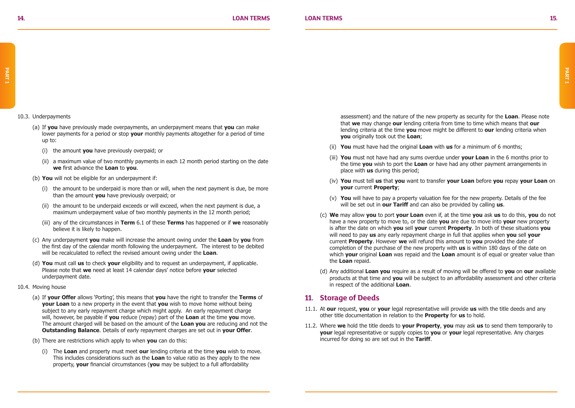#### 10.3. Underpayments

- (a) If **you** have previously made overpayments, an underpayment means that **you** can make lower payments for a period or stop **your** monthly payments altogether for a period of time up to:
	- (i) the amount **you** have previously overpaid; or
	- (ii) a maximum value of two monthly payments in each 12 month period starting on the date **we** first advance the **Loan** to **you**.
- (b) **You** will not be eligible for an underpayment if:
	- (i) the amount to be underpaid is more than or will, when the next payment is due, be more than the amount **you** have previously overpaid; or
	- (ii) the amount to be underpaid exceeds or will exceed, when the next payment is due, a maximum underpayment value of two monthly payments in the 12 month period;
	- (iii) any of the circumstances in **Term** 6.1 of these **Terms** has happened or if **we** reasonably believe it is likely to happen.
- (c) Any underpayment **you** make will increase the amount owing under the **Loan** by **you** from the first day of the calendar month following the underpayment. The interest to be debited will be recalculated to reflect the revised amount owing under the **Loan**.
- (d) **You** must call **us** to check **your** eligibility and to request an underpayment, if applicable. Please note that **we** need at least 14 calendar days' notice before **your** selected underpayment date.
- 10.4. Moving house
	- (a) If **your Offer** allows 'Porting', this means that **you** have the right to transfer the **Terms** of **your Loan** to a new property in the event that **you** wish to move home without being subject to any early repayment charge which might apply. An early repayment charge will, however, be payable if **you** reduce (repay) part of the **Loan** at the time **you** move. The amount charged will be based on the amount of the **Loan you** are reducing and not the **Outstanding Balance**. Details of early repayment charges are set out in **your Offer**.
	- (b) There are restrictions which apply to when **you** can do this:
		- (i) The **Loan** and property must meet **our** lending criteria at the time **you** wish to move. This includes considerations such as the **Loan** to value ratio as they apply to the new property, **your** financial circumstances (**you** may be subject to a full affordability

 assessment) and the nature of the new property as security for the **Loan**. Please note that **we** may change **our** lending criteria from time to time which means that **our** lending criteria at the time **you** move might be different to **our** lending criteria when **you** originally took out the **Loan**;

- (ii) **You** must have had the original **Loan** with **us** for a minimum of 6 months;
- (iii) **You** must not have had any sums overdue under **your Loan** in the 6 months prior to the time **you** wish to port the **Loan** or have had any other payment arrangements in place with **us** during this period;
- (iv) **You** must tell **us** that **you** want to transfer **your Loan** before **you** repay **your Loan** on **your** current **Property**;
- (v) **You** will have to pay a property valuation fee for the new property. Details of the fee will be set out in **our Tariff** and can also be provided by calling **us**.
- (c) **We** may allow **you** to port **your Loan** even if, at the time **you** ask **us** to do this, **you** do not have a new property to move to, or the date **you** are due to move into **your** new property is after the date on which **you** sell **your** current **Property**. In both of these situations **you** will need to pay **us** any early repayment charge in full that applies when **you** sell **your** current **Property**. However **we** will refund this amount to **you** provided the date of completion of the purchase of the new property with **us** is within 180 days of the date on which **your** original **Loan** was repaid and the **Loan** amount is of equal or greater value than the **Loan** repaid.
- (d) Any additional **Loan you** require as a result of moving will be offered to **you** on **our** available products at that time and **you** will be subject to an affordability assessment and other criteria in respect of the additional **Loan**.

### **11. Storage of Deeds**

- 11.1. At **our** request, **you** or **your** legal representative will provide **us** with the title deeds and any other title documentation in relation to the **Property** for **us** to hold.
- 11.2. Where **we** hold the title deeds to **your Property**, **you** may ask **us** to send them temporarily to **your** legal representative or supply copies to **you** or **your** legal representative. Any charges incurred for doing so are set out in the **Tariff**.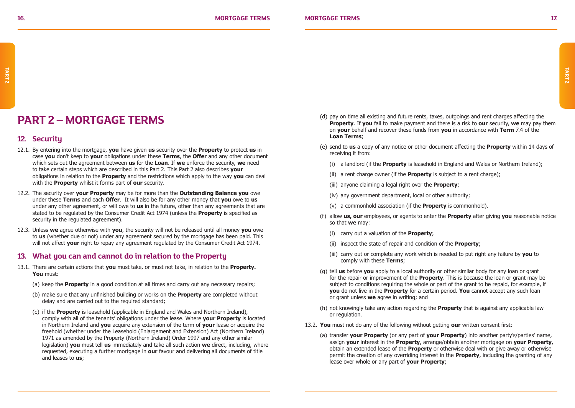### **PART 2 – MORTGAGE TERMS**

### **12. Security**

- 12.1. By entering into the mortgage, **you** have given **us** security over the **Property** to protect **us** in case **you** don't keep to **your** obligations under these **Terms**, the **Offer** and any other document which sets out the agreement between **us** for the **Loan**. If **we** enforce the security, **we** need to take certain steps which are described in this Part 2. This Part 2 also describes **your** obligations in relation to the **Property** and the restrictions which apply to the way **you** can deal with the **Property** whilst it forms part of **our** security.
- 12.2. The security over **your Property** may be for more than the **Outstanding Balance you** owe under these **Terms** and each **Offer**. It will also be for any other money that **you** owe to **us** under any other agreement, or will owe to **us** in the future, other than any agreements that are stated to be regulated by the Consumer Credit Act 1974 (unless the **Property** is specified as security in the regulated agreement).
- 12.3. Unless **we** agree otherwise with **you**, the security will not be released until all money **you** owe to **us** (whether due or not) under any agreement secured by the mortgage has been paid. This will not affect **your** right to repay any agreement regulated by the Consumer Credit Act 1974.

#### **13. What you can and cannot do in relation to the Property**

- 13.1. There are certain actions that **you** must take, or must not take, in relation to the **Property. You** must:
	- (a) keep the **Property** in a good condition at all times and carry out any necessary repairs;
	- (b) make sure that any unfinished building or works on the **Property** are completed without delay and are carried out to the required standard;
	- (c) if the **Property** is leasehold (applicable in England and Wales and Northern Ireland), comply with all of the tenants' obligations under the lease. Where **your Property** is located in Northern Ireland and **you** acquire any extension of the term of **your** lease or acquire the freehold (whether under the Leasehold (Enlargement and Extension) Act (Northern Ireland) 1971 as amended by the Property (Northern Ireland) Order 1997 and any other similar legislation) **you** must tell **us** immediately and take all such action **we** direct, including, where requested, executing a further mortgage in **our** favour and delivering all documents of title and leases to **us**;
- (d) pay on time all existing and future rents, taxes, outgoings and rent charges affecting the **Property**. If **you** fail to make payment and there is a risk to **our** security, **we** may pay them on **your** behalf and recover these funds from **you** in accordance with **Term** 7.4 of the **Loan Terms**;
- (e) send to **us** a copy of any notice or other document affecting the **Property** within 14 days of receiving it from:
	- (i) a landlord (if the **Property** is leasehold in England and Wales or Northern Ireland);
	- (ii) a rent charge owner (if the **Property** is subject to a rent charge);
	- (iii) anyone claiming a legal right over the **Property**;
	- (iv) any government department, local or other authority;
	- (v) a commonhold association (if the **Property** is commonhold).
- (f) allow **us, our** employees, or agents to enter the **Property** after giving **you** reasonable notice so that **we** may:
	- (i) carry out a valuation of the **Property**;
	- (ii) inspect the state of repair and condition of the **Property**;
	- (iii) carry out or complete any work which is needed to put right any failure by **you** to comply with these **Terms**;
- (g) tell **us** before **you** apply to a local authority or other similar body for any loan or grant for the repair or improvement of the **Property**. This is because the loan or grant may be subject to conditions requiring the whole or part of the grant to be repaid, for example, if **you** do not live in the **Property** for a certain period. **You** cannot accept any such loan or grant unless **we** agree in writing; and
- (h) not knowingly take any action regarding the **Property** that is against any applicable law or regulation.
- 13.2. **You** must not do any of the following without getting **our** written consent first:
	- (a) transfer **your Property** (or any part of **your Property**) into another party's/parties' name, assign **your** interest in the **Property**, arrange/obtain another mortgage on **your Property**, obtain an extended lease of the **Property** or otherwise deal with or give away or otherwise permit the creation of any overriding interest in the **Property**, including the granting of any lease over whole or any part of **your Property**;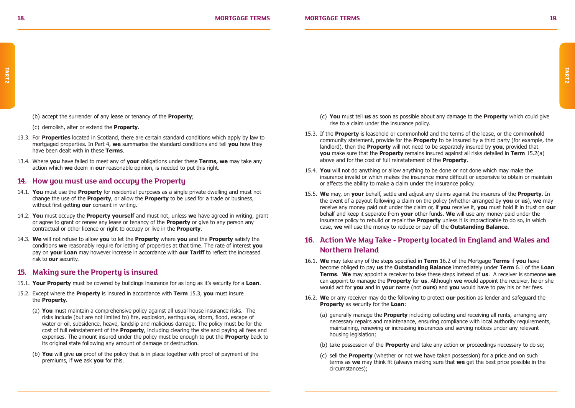(b) accept the surrender of any lease or tenancy of the **Property**;

(c) demolish, alter or extend the **Property**.

- 13.3. For **Properties** located in Scotland, there are certain standard conditions which apply by law to mortgaged properties. In Part 4, **we** summarise the standard conditions and tell **you** how they have been dealt with in these **Terms**.
- 13.4. Where **you** have failed to meet any of **your** obligations under these **Terms, we** may take any action which **we** deem in **our** reasonable opinion, is needed to put this right.

### **14. How you must use and occupy the Property**

- 14.1. **You** must use the **Property** for residential purposes as a single private dwelling and must not change the use of the **Property**, or allow the **Property** to be used for a trade or business, without first getting **our** consent in writing.
- 14.2. **You** must occupy the **Property yourself** and must not, unless **we** have agreed in writing, grant or agree to grant or renew any lease or tenancy of the **Property** or give to any person any contractual or other licence or right to occupy or live in the **Property**.
- 14.3. **We** will not refuse to allow **you** to let the **Property** where **you** and the **Property** satisfy the conditions **we** reasonably require for letting of properties at that time. The rate of interest **you** pay on **your Loan** may however increase in accordance with **our Tariff** to reflect the increased risk to **our** security.

### **15. Making sure the Property is insured**

- 15.1. **Your Property** must be covered by buildings insurance for as long as it's security for a **Loan**.
- 15.2. Except where the **Property** is insured in accordance with **Term** 15.3, **you** must insure the **Property**.
	- (a) **You** must maintain a comprehensive policy against all usual house insurance risks. The risks include (but are not limited to) fire, explosion, earthquake, storm, flood, escape of water or oil, subsidence, heave, landslip and malicious damage. The policy must be for the cost of full reinstatement of the **Property**, including clearing the site and paying all fees and expenses. The amount insured under the policy must be enough to put the **Property** back to its original state following any amount of damage or destruction.
	- (b) **You** will give **us** proof of the policy that is in place together with proof of payment of the premiums, if **we** ask **you** for this.
- (c) **You** must tell **us** as soon as possible about any damage to the **Property** which could give rise to a claim under the insurance policy.
- 15.3. If the **Property** is leasehold or commonhold and the terms of the lease, or the commonhold community statement, provide for the **Property** to be insured by a third party (for example, the landlord), then the **Property** will not need to be separately insured by **you**, provided that **you** make sure that the **Property** remains insured against all risks detailed in **Term** 15.2(a) above and for the cost of full reinstatement of the **Property**.
- 15.4. **You** will not do anything or allow anything to be done or not done which may make the insurance invalid or which makes the insurance more difficult or expensive to obtain or maintain or affects the ability to make a claim under the insurance policy.
- 15.5. **We** may, on **your** behalf, settle and adjust any claims against the insurers of the **Property**. In the event of a payout following a claim on the policy (whether arranged by **you** or **us**), **we** may receive any money paid out under the claim or, if **you** receive it, **you** must hold it in trust on **our** behalf and keep it separate from **your** other funds. **We** will use any money paid under the insurance policy to rebuild or repair the **Property** unless it is impracticable to do so, in which case, **we** will use the money to reduce or pay off the **Outstanding Balance**.

### **16. Action We May Take - Property located in England and Wales and Northern Ireland**

- 16.1. **We** may take any of the steps specified in **Term** 16.2 of the Mortgage **Terms** if **you** have become obliged to pay **us** the **Outstanding Balance** immediately under **Term** 6.1 of the **Loan Terms**. **We** may appoint a receiver to take these steps instead of **us**. A receiver is someone **we** can appoint to manage the **Property** for **us**. Although **we** would appoint the receiver, he or she would act for **you** and in **your** name (not **ours**) and **you** would have to pay his or her fees.
- 16.2. **We** or any receiver may do the following to protect **our** position as lender and safeguard the **Property** as security for the **Loan**:
	- (a) generally manage the **Property** including collecting and receiving all rents, arranging any necessary repairs and maintenance, ensuring compliance with local authority requirements, maintaining, renewing or increasing insurances and serving notices under any relevant housing legislation;
	- (b) take possession of the **Property** and take any action or proceedings necessary to do so;
	- (c) sell the **Property** (whether or not **we** have taken possession) for a price and on such terms as **we** may think fit (always making sure that **we** get the best price possible in the circumstances);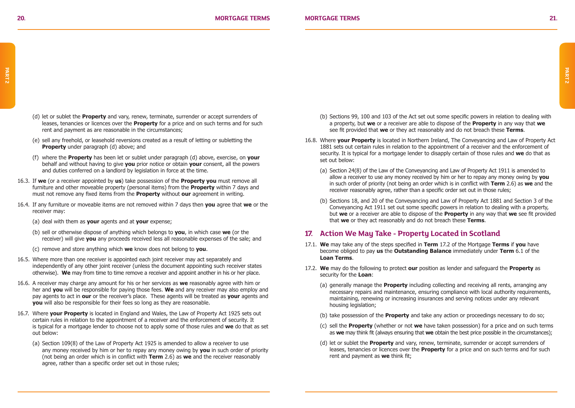- (d) let or sublet the **Property** and vary, renew, terminate, surrender or accept surrenders of leases, tenancies or licences over the **Property** for a price and on such terms and for such rent and payment as are reasonable in the circumstances;
- (e) sell any freehold, or leasehold reversions created as a result of letting or subletting the **Property** under paragraph (d) above; and
- (f) where the **Property** has been let or sublet under paragraph (d) above, exercise, on **your** behalf and without having to give **you** prior notice or obtain **your** consent, all the powers and duties conferred on a landlord by legislation in force at the time.
- 16.3. If **we** (or a receiver appointed by **us**) take possession of the **Property you** must remove all furniture and other moveable property (personal items) from the **Property** within 7 days and must not remove any fixed items from the **Property** without **our** agreement in writing.
- 16.4. If any furniture or moveable items are not removed within 7 days then **you** agree that **we** or the receiver may:
	- (a) deal with them as **your** agents and at **your** expense;
	- (b) sell or otherwise dispose of anything which belongs to **you**, in which case **we** (or the receiver) will give **you** any proceeds received less all reasonable expenses of the sale; and
	- (c) remove and store anything which **we** know does not belong to **you**.
- 16.5. Where more than one receiver is appointed each joint receiver may act separately and independently of any other joint receiver (unless the document appointing such receiver states otherwise). **We** may from time to time remove a receiver and appoint another in his or her place.
- 16.6. A receiver may charge any amount for his or her services as **we** reasonably agree with him or her and **you** will be responsible for paying those fees. **We** and any receiver may also employ and pay agents to act in **our** or the receiver's place. These agents will be treated as **your** agents and **you** will also be responsible for their fees so long as they are reasonable.
- 16.7. Where **your Property** is located in England and Wales, the Law of Property Act 1925 sets out certain rules in relation to the appointment of a receiver and the enforcement of security. It is typical for a mortgage lender to choose not to apply some of those rules and **we** do that as set out below:
	- (a) Section 109(8) of the Law of Property Act 1925 is amended to allow a receiver to use any money received by him or her to repay any money owing by **you** in such order of priority (not being an order which is in conflict with **Term** 2.6) as **we** and the receiver reasonably agree, rather than a specific order set out in those rules;
- (b) Sections 99, 100 and 103 of the Act set out some specific powers in relation to dealing with a property, but **we** or a receiver are able to dispose of the **Property** in any way that **we** see fit provided that **we** or they act reasonably and do not breach these **Terms**.
- 16.8. Where **your Property** is located in Northern Ireland, The Conveyancing and Law of Property Act 1881 sets out certain rules in relation to the appointment of a receiver and the enforcement of security. It is typical for a mortgage lender to disapply certain of those rules and **we** do that as set out below:
	- (a) Section 24(8) of the Law of the Conveyancing and Law of Property Act 1911 is amended to allow a receiver to use any money received by him or her to repay any money owing by **you** in such order of priority (not being an order which is in conflict with **Term** 2.6) as **we** and the receiver reasonably agree, rather than a specific order set out in those rules;
	- (b) Sections 18, and 20 of the Conveyancing and Law of Property Act 1881 and Section 3 of the Conveyancing Act 1911 set out some specific powers in relation to dealing with a property, but **we** or a receiver are able to dispose of the **Property** in any way that **we** see fit provided that **we** or they act reasonably and do not breach these **Terms**.

### **17. Action We May Take - Property Located in Scotland**

- 17.1. **We** may take any of the steps specified in **Term** 17.2 of the Mortgage **Terms** if **you** have become obliged to pay **us** the **Outstanding Balance** immediately under **Term** 6.1 of the **Loan Terms**.
- 17.2. **We** may do the following to protect **our** position as lender and safeguard the **Property** as security for the **Loan**:
	- (a) generally manage the **Property** including collecting and receiving all rents, arranging any necessary repairs and maintenance, ensuring compliance with local authority requirements, maintaining, renewing or increasing insurances and serving notices under any relevant housing legislation:
	- (b) take possession of the **Property** and take any action or proceedings necessary to do so;
	- (c) sell the **Property** (whether or not **we** have taken possession) for a price and on such terms as **we** may think fit (always ensuring that **we** obtain the best price possible in the circumstances);
	- (d) let or sublet the **Property** and vary, renew, terminate, surrender or accept surrenders of leases, tenancies or licences over the **Property** for a price and on such terms and for such rent and payment as **we** think fit;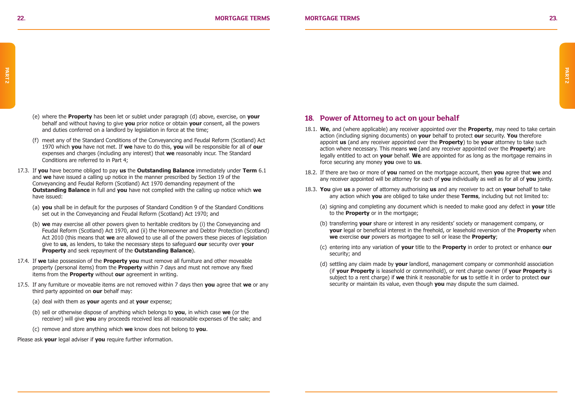- (e) where the **Property** has been let or sublet under paragraph (d) above, exercise, on **your** behalf and without having to give **you** prior notice or obtain **your** consent, all the powers and duties conferred on a landlord by legislation in force at the time;
- (f) meet any of the Standard Conditions of the Conveyancing and Feudal Reform (Scotland) Act 1970 which **you** have not met. If **we** have to do this, **you** will be responsible for all of **our** expenses and charges (including any interest) that **we** reasonably incur. The Standard Conditions are referred to in Part 4;
- 17.3. If **you** have become obliged to pay **us** the **Outstanding Balance** immediately under **Term** 6.1 and **we** have issued a calling up notice in the manner prescribed by Section 19 of the Conveyancing and Feudal Reform (Scotland) Act 1970 demanding repayment of the **Outstanding Balance** in full and **you** have not complied with the calling up notice which **we** have issued:
	- (a) **you** shall be in default for the purposes of Standard Condition 9 of the Standard Conditions set out in the Conveyancing and Feudal Reform (Scotland) Act 1970; and
	- (b) **we** may exercise all other powers given to heritable creditors by (i) the Conveyancing and Feudal Reform (Scotland) Act 1970, and (ii) the Homeowner and Debtor Protection (Scotland) Act 2010 (this means that **we** are allowed to use all of the powers these pieces of legislation give to **us**, as lenders, to take the necessary steps to safeguard **our** security over **your Property** and seek repayment of the **Outstanding Balance**).
- 17.4. If **we** take possession of the **Property you** must remove all furniture and other moveable property (personal items) from the **Property** within 7 days and must not remove any fixed items from the **Property** without **our** agreement in writing.
- 17.5. If any furniture or moveable items are not removed within 7 days then **you** agree that **we** or any third party appointed on **our** behalf may:
	- (a) deal with them as **your** agents and at **your** expense;
	- (b) sell or otherwise dispose of anything which belongs to **you**, in which case **we** (or the receiver) will give **you** any proceeds received less all reasonable expenses of the sale; and
	- (c) remove and store anything which **we** know does not belong to **you**.

Please ask **your** legal adviser if **you** require further information.

### **18. Power of Attorney to act on your behalf**

- 18.1. **We**, and (where applicable) any receiver appointed over the **Property**, may need to take certain action (including signing documents) on **your** behalf to protect **our** security. **You** therefore appoint **us** (and any receiver appointed over the **Property**) to be **your** attorney to take such action where necessary. This means **we** (and any receiver appointed over the **Property**) are legally entitled to act on **your** behalf. **We** are appointed for as long as the mortgage remains in force securing any money **you** owe to **us**.
- 18.2. If there are two or more of **you** named on the mortgage account, then **you** agree that **we** and any receiver appointed will be attorney for each of **you** individually as well as for all of **you** jointly.
- 18.3. **You** give **us** a power of attorney authorising **us** and any receiver to act on **your** behalf to take any action which **you** are obliged to take under these **Terms**, including but not limited to:
	- (a) signing and completing any document which is needed to make good any defect in **your** title to the **Property** or in the mortgage:
	- (b) transferring **your** share or interest in any residents' society or management company, or **your** legal or beneficial interest in the freehold, or leasehold reversion of the **Property** when **we** exercise **our** powers as mortgagee to sell or lease the **Property**;
	- (c) entering into any variation of **your** title to the **Property** in order to protect or enhance **our** security; and
	- (d) settling any claim made by **your** landlord, management company or commonhold association (if **your Property** is leasehold or commonhold), or rent charge owner (if **your Property** is subject to a rent charge) if **we** think it reasonable for **us** to settle it in order to protect **our** security or maintain its value, even though **you** may dispute the sum claimed.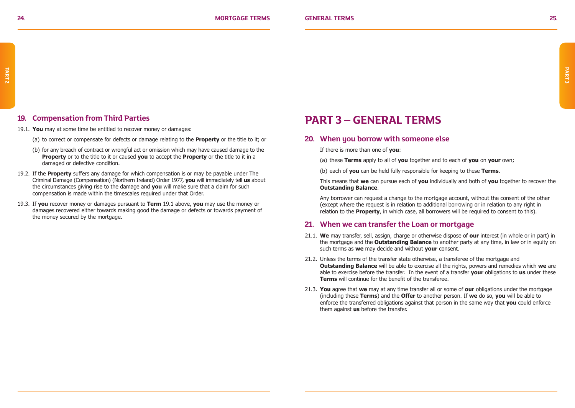### **19. Compensation from Third Parties**

- 19.1. **You** may at some time be entitled to recover money or damages:
	- (a) to correct or compensate for defects or damage relating to the **Property** or the title to it; or
	- (b) for any breach of contract or wrongful act or omission which may have caused damage to the **Property** or to the title to it or caused **you** to accept the **Property** or the title to it in a damaged or defective condition.
- 19.2. If the **Property** suffers any damage for which compensation is or may be payable under The Criminal Damage (Compensation) (Northern Ireland) Order 1977, **you** will immediately tell **us** about the circumstances giving rise to the damage and **you** will make sure that a claim for such compensation is made within the timescales required under that Order.
- 19.3. If **you** recover money or damages pursuant to **Term** 19.1 above, **you** may use the money or damages recovered either towards making good the damage or defects or towards payment of the money secured by the mortgage.

### **PART 3 – GENERAL TERMS**

### **20. When you borrow with someone else**

If there is more than one of **you**:

- (a) these **Terms** apply to all of **you** together and to each of **you** on **your** own;
- (b) each of **you** can be held fully responsible for keeping to these **Terms**.

This means that **we** can pursue each of **you** individually and both of **you** together to recover the **Outstanding Balance**.

Any borrower can request a change to the mortgage account, without the consent of the other (except where the request is in relation to additional borrowing or in relation to any right in relation to the **Property**, in which case, all borrowers will be required to consent to this).

### **21. When we can transfer the Loan or mortgage**

- 21.1. **We** may transfer, sell, assign, charge or otherwise dispose of **our** interest (in whole or in part) in the mortgage and the **Outstanding Balance** to another party at any time, in law or in equity on such terms as **we** may decide and without **your** consent.
- 21.2. Unless the terms of the transfer state otherwise, a transferee of the mortgage and **Outstanding Balance** will be able to exercise all the rights, powers and remedies which **we** are able to exercise before the transfer. In the event of a transfer **your** obligations to **us** under these **Terms** will continue for the benefit of the transferee.
- 21.3. **You** agree that **we** may at any time transfer all or some of **our** obligations under the mortgage (including these **Terms**) and the **Offer** to another person. If **we** do so, **you** will be able to enforce the transferred obligations against that person in the same way that **you** could enforce them against **us** before the transfer.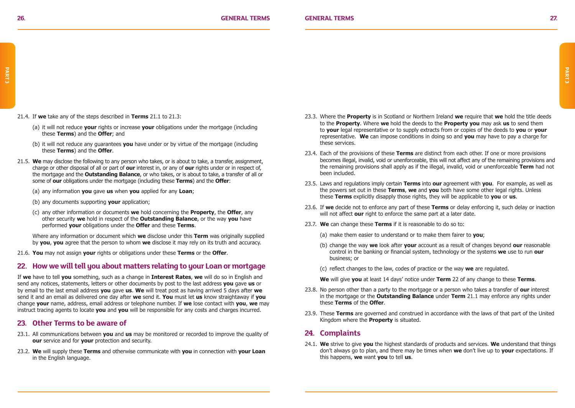21.4. If **we** take any of the steps described in **Terms** 21.1 to 21.3:

- (a) it will not reduce **your** rights or increase **your** obligations under the mortgage (including these **Terms**) and the **Offer**; and
- (b) it will not reduce any guarantees **you** have under or by virtue of the mortgage (including these **Terms**) and the **Offer**.
- 21.5. **We** may disclose the following to any person who takes, or is about to take, a transfer, assignment, charge or other disposal of all or part of **our** interest in, or any of **our** rights under or in respect of, the mortgage and the **Outstanding Balance**, or who takes, or is about to take, a transfer of all or some of **our** obligations under the mortgage (including these **Terms**) and the **Offer**:
	- (a) any information **you** gave **us** when **you** applied for any **Loan**;
	- (b) any documents supporting **your** application;
	- (c) any other information or documents **we** hold concerning the **Property**, the **Offer**, any other security **we** hold in respect of the **Outstanding Balance**, or the way **you** have performed **your** obligations under the **Offer** and these **Terms**.

Where any information or document which **we** disclose under this **Term** was originally supplied by **you**, **you** agree that the person to whom **we** disclose it may rely on its truth and accuracy.

21.6. **You** may not assign **your** rights or obligations under these **Terms** or the **Offer**.

### **22. How we will tell you about matters relating to your Loan or mortgage**

If **we** have to tell **you** something, such as a change in **Interest Rates**, **we** will do so in English and send any notices, statements, letters or other documents by post to the last address **you** gave **us** or by email to the last email address **you** gave **us**. **We** will treat post as having arrived 5 days after **we** send it and an email as delivered one day after **we** send it. **You** must let **us** know straightaway if **you** change **your** name, address, email address or telephone number. If **we** lose contact with **you**, **we** may instruct tracing agents to locate **you** and **you** will be responsible for any costs and charges incurred.

#### **23. Other Terms to be aware of**

- 23.1. All communications between **you** and **us** may be monitored or recorded to improve the quality of **our** service and for **your** protection and security.
- 23.2. **We** will supply these **Terms** and otherwise communicate with **you** in connection with **your Loan** in the English language.
- 23.3. Where the **Property** is in Scotland or Northern Ireland **we** require that **we** hold the title deeds to the **Property**. Where **we** hold the deeds to the **Property you** may ask **us** to send them to **your** legal representative or to supply extracts from or copies of the deeds to **you** or **your** representative. **We** can impose conditions in doing so and **you** may have to pay a charge for these services.
- 23.4. Each of the provisions of these **Terms** are distinct from each other. If one or more provisions becomes illegal, invalid, void or unenforceable, this will not affect any of the remaining provisions and the remaining provisions shall apply as if the illegal, invalid, void or unenforceable **Term** had not been included.
- 23.5. Laws and regulations imply certain **Terms** into **our** agreement with **you**. For example, as well as the powers set out in these **Terms**, **we** and **you** both have some other legal rights. Unless these **Terms** explicitly disapply those rights, they will be applicable to **you** or **us**.
- 23.6. If **we** decide not to enforce any part of these **Terms** or delay enforcing it, such delay or inaction will not affect **our** right to enforce the same part at a later date.
- 23.7. **We** can change these **Terms** if it is reasonable to do so to:
	- (a) make them easier to understand or to make them fairer to **you**;
	- (b) change the way **we** look after **your** account as a result of changes beyond **our** reasonable control in the banking or financial system, technology or the systems **we** use to run **our** business; or
	- (c) reflect changes to the law, codes of practice or the way **we** are regulated.

**We** will give **you** at least 14 days' notice under **Term** 22 of any change to these **Terms**.

- 23.8. No person other than a party to the mortgage or a person who takes a transfer of **our** interest in the mortgage or the **Outstanding Balance** under **Term** 21.1 may enforce any rights under these **Terms** of the **Offer**.
- 23.9. These **Terms** are governed and construed in accordance with the laws of that part of the United Kingdom where the **Property** is situated.

#### **24. Complaints**

24.1. **We** strive to give **you** the highest standards of products and services. **We** understand that things don't always go to plan, and there may be times when **we** don't live up to **your** expectations. If this happens, **we** want **you** to tell **us**.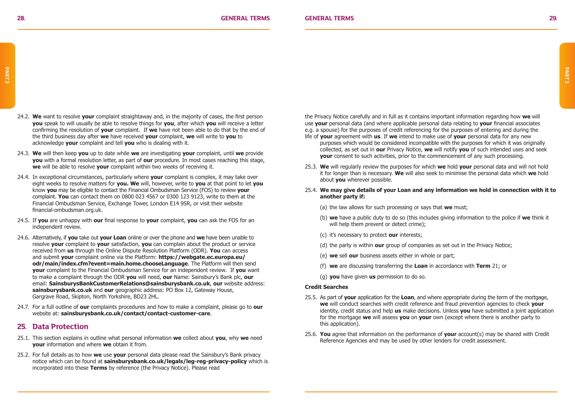- 24.2. **We** want to resolve **your** complaint straightaway and, in the majority of cases, the first person **you** speak to will usually be able to resolve things for **you**, after which **you** will receive a letter confirming the resolution of **your** complaint. If **we** have not been able to do that by the end of the third business day after **we** have received **your** complaint, **we** will write to **you** to acknowledge **your** complaint and tell **you** who is dealing with it.
- 24.3. **We** will then keep **you** up to date while **we** are investigating **your** complaint, until **we** provide **you** with a formal resolution letter, as part of **our** procedure. In most cases reaching this stage, **we** will be able to resolve **your** complaint within two weeks of receiving it.
- 24.4. In exceptional circumstances, particularly where **your** complaint is complex, it may take over eight weeks to resolve matters for **you. We** will, however, write to **you** at that point to let **you** know **you** may be eligible to contact the Financial Ombudsman Service (FOS) to review **your**  complaint. **You** can contact them on 0800 023 4567 or 0300 123 9123, write to them at the Financial Ombudsman Service, Exchange Tower, London E14 9SR, or visit their website financial-ombudsman.org.uk.
- 24.5. If **you** are unhappy with **our** final response to **your** complaint, **you** can ask the FOS for an independent review.
- 24.6. Alternatively, if **you** take out **your Loan** online or over the phone and **we** have been unable to resolve **your** complaint to **your** satisfaction, **you** can complain about the product or service received from **us** through the Online Dispute Resolution Platform (ODR). **You** can access and submit **your** complaint online via the Platform: **https://webgate.ec.europa.eu/ odr/main/index.cfm?event=main.home.chooseLanguage**. The Platform will then send **your** complaint to the Financial Ombudsman Service for an independent review. If **you** want to make a complaint through the ODR **you** will need, **our** Name: Sainsbury's Bank plc, **our** email: **SainsburysBankCustomerRelations@sainsburysbank.co.uk**, **our** website address: **sainsburysbank.co.uk** and **our** geographic address: PO Box 12, Gateway House, Gargrave Road, Skipton, North Yorkshire, BD23 2HL.
- 24.7. For a full outline of **our** complaints procedures and how to make a complaint, please go to **our** website at: **sainsburysbank.co.uk/contact/contact-customer-care**.

### **25. Data Protection**

- 25.1. This section explains in outline what personal information **we** collect about **you**, why **we** need **your** information and where **we** obtain it from.
- 25.2. For full details as to how **we** use **your** personal data please read the Sainsbury's Bank privacy notice which can be found at **sainsburysbank.co.uk/legals/leg-reg-privacy-policy** which is incorporated into these **Terms** by reference (the Privacy Notice). Please read

the Privacy Notice carefully and in full as it contains important information regarding how **we** will use **your** personal data (and where applicable personal data relating to **your** financial associates e.g. a spouse) for the purposes of credit referencing for the purposes of entering and during the

- life of **your** agreement with **us**. If **we** intend to make use of **your** personal data for any new purposes which would be considered incompatible with the purposes for which it was originally collected, as set out in **our** Privacy Notice, **we** will notify **you** of such intended uses and seek **your** consent to such activities, prior to the commencement of any such processing.
- 25.3. **We** will regularly review the purposes for which **we** hold **your** personal data and will not hold it for longer than is necessary. **We** will also seek to minimise the personal data which **we** hold about **you** wherever possible.
- 25.4. **We may give details of your Loan and any information we hold in connection with it to another party if:**
	- (a) the law allows for such processing or says that **we** must;
	- (b) **we** have a public duty to do so (this includes giving information to the police if **we** think it will help them prevent or detect crime);
	- (c) it's necessary to protect **our** interests;
	- (d) the party is within **our** group of companies as set out in the Privacy Notice;
	- (e) **we** sell **our** business assets either in whole or part;
	- (f) **we** are discussing transferring the **Loan** in accordance with **Term** 21; or
	- (g) **you** have given **us** permission to do so.

#### **Credit Searches**

- 25.5. As part of **your** application for the **Loan**, and where appropriate during the term of the mortgage, **we** will conduct searches with credit reference and fraud prevention agencies to check **your** identity, credit status and help **us** make decisions. Unless **you** have submitted a joint application for the mortgage **we** will assess **you** on **your** own (except where there is another party to this application).
- 25.6. **You** agree that information on the performance of **your** account(s) may be shared with Credit Reference Agencies and may be used by other lenders for credit assessment.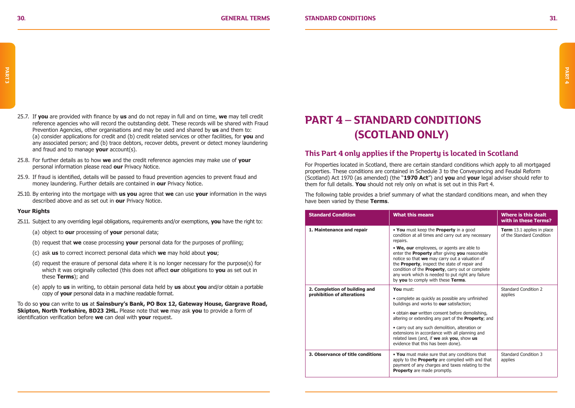- 25.7. If **you** are provided with finance by **us** and do not repay in full and on time, **we** may tell credit reference agencies who will record the outstanding debt. These records will be shared with Fraud Prevention Agencies, other organisations and may be used and shared by **us** and them to: (a) consider applications for credit and (b) credit related services or other facilities, for **you** and any associated person; and (b) trace debtors, recover debts, prevent or detect money laundering and fraud and to manage **your** account(s).
- 25.8. For further details as to how **we** and the credit reference agencies may make use of **your** personal information please read **our** Privacy Notice.
- 25.9. If fraud is identified, details will be passed to fraud prevention agencies to prevent fraud and money laundering. Further details are contained in **our** Privacy Notice.
- 25.10. By entering into the mortgage with **us you** agree that **we** can use **your** information in the ways described above and as set out in **our** Privacy Notice.

#### **Your Rights**

- 25.11. Subject to any overriding legal obligations, requirements and/or exemptions, **you** have the right to:
	- (a) object to **our** processing of **your** personal data;
	- (b) request that **we** cease processing **your** personal data for the purposes of profiling;
	- (c) ask **us** to correct incorrect personal data which **we** may hold about **you**;
	- (d) request the erasure of personal data where it is no longer necessary for the purpose(s) for which it was originally collected (this does not affect **our** obligations to **you** as set out in these **Terms**); and
	- (e) apply to **us** in writing, to obtain personal data held by **us** about **you** and/or obtain a portable copy of **your** personal data in a machine readable format.

To do so **you** can write to **us** at **Sainsbury's Bank, PO Box 12, Gateway House, Gargrave Road, Skipton, North Yorkshire, BD23 2HL.** Please note that **we** may ask **you** to provide a form of identification verification before **we** can deal with **your** request.

### **PART 4 – STANDARD CONDITIONS (SCOTLAND ONLY)**

### **This Part 4 only applies if the Property is located in Scotland**

For Properties located in Scotland, there are certain standard conditions which apply to all mortgaged properties. These conditions are contained in Schedule 3 to the Conveyancing and Feudal Reform (Scotland) Act 1970 (as amended) (the "**1970 Act**") and **you** and **your** legal adviser should refer to them for full details. **You** should not rely only on what is set out in this Part 4.

The following table provides a brief summary of what the standard conditions mean, and when they have been varied by these **Terms**.

| <b>Standard Condition</b>                                   | <b>What this means</b>                                                                                                                                                                                                                                                                                                                                                                                                                                                    | Where is this dealt<br>with in these Terms?             |
|-------------------------------------------------------------|---------------------------------------------------------------------------------------------------------------------------------------------------------------------------------------------------------------------------------------------------------------------------------------------------------------------------------------------------------------------------------------------------------------------------------------------------------------------------|---------------------------------------------------------|
| 1. Maintenance and repair                                   | . You must keep the Property in a good<br>condition at all times and carry out any necessary<br>repairs.<br>. We, our employees, or agents are able to<br>enter the <b>Property</b> after giving you reasonable<br>notice so that we may carry out a valuation of<br>the Property, inspect the state of repair and<br>condition of the <b>Property</b> , carry out or complete<br>any work which is needed to put right any failure<br>by you to comply with these Terms. | Term 13.1 applies in place<br>of the Standard Condition |
| 2. Completion of building and<br>prohibition of alterations | You must:<br>• complete as quickly as possible any unfinished<br>buildings and works to our satisfaction;<br>· obtain our written consent before demolishing,<br>altering or extending any part of the <b>Property</b> ; and<br>• carry out any such demolition, alteration or<br>extensions in accordance with all planning and<br>related laws (and, if we ask you, show us<br>evidence that this has been done).                                                       | Standard Condition 2<br>applies                         |
| 3. Observance of title conditions                           | . You must make sure that any conditions that<br>apply to the <b>Property</b> are complied with and that<br>payment of any charges and taxes relating to the<br><b>Property</b> are made promptly.                                                                                                                                                                                                                                                                        | Standard Condition 3<br>applies                         |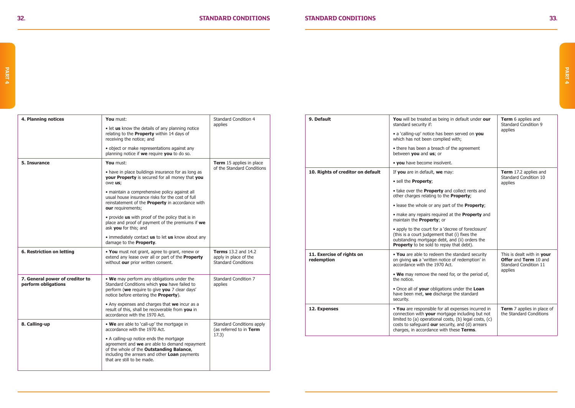| 4. Planning notices                                    | You must:                                                                                                                                                                                                           | Standard Condition 4<br>applies                                                   |
|--------------------------------------------------------|---------------------------------------------------------------------------------------------------------------------------------------------------------------------------------------------------------------------|-----------------------------------------------------------------------------------|
|                                                        | • let us know the details of any planning notice<br>relating to the Property within 14 days of<br>receiving the notice; and                                                                                         |                                                                                   |
|                                                        | • object or make representations against any<br>planning notice if we require you to do so.                                                                                                                         |                                                                                   |
| 5. Insurance                                           | You must:                                                                                                                                                                                                           | Term 15 applies in place<br>of the Standard Conditions                            |
|                                                        | • have in place buildings insurance for as long as<br>your Property is secured for all money that you<br>owe us;                                                                                                    |                                                                                   |
|                                                        | · maintain a comprehensive policy against all<br>usual house insurance risks for the cost of full<br>reinstatement of the Property in accordance with<br>our requirements;                                          |                                                                                   |
|                                                        | . provide us with proof of the policy that is in<br>place and proof of payment of the premiums if we<br>ask vou for this: and                                                                                       |                                                                                   |
|                                                        | • immediately contact us to let us know about any<br>damage to the <b>Property</b> .                                                                                                                                |                                                                                   |
| 6. Restriction on letting                              | . You must not grant, agree to grant, renew or<br>extend any lease over all or part of the <b>Property</b><br>without our prior written consent.                                                                    | <b>Terms</b> 13.2 and 14.2<br>apply in place of the<br><b>Standard Conditions</b> |
| 7. General power of creditor to<br>perform obligations | . We may perform any obligations under the<br>Standard Conditions which you have failed to<br>perform (we require to give you 7 clear days'<br>notice before entering the <b>Property</b> ).                        | Standard Condition 7<br>applies                                                   |
|                                                        | • Any expenses and charges that we incur as a<br>result of this, shall be recoverable from you in<br>accordance with the 1970 Act.                                                                                  |                                                                                   |
| 8. Calling-up                                          | . We are able to 'call-up' the mortgage in<br>accordance with the 1970 Act.                                                                                                                                         | Standard Conditions apply<br>(as referred to in Term                              |
|                                                        | • A calling-up notice ends the mortgage<br>agreement and we are able to demand repayment<br>of the whole of the Outstanding Balance,<br>including the arrears and other Loan payments<br>that are still to be made. | 17.3)                                                                             |

| 9. Default                              | You will be treated as being in default under our<br>standard security if:<br>• a 'calling-up' notice has been served on you<br>which has not been complied with;<br>• there has been a breach of the agreement<br>between you and us; or<br>. you have become insolvent.                                                                          | Term 6 applies and<br>Standard Condition 9<br>applies                                   |
|-----------------------------------------|----------------------------------------------------------------------------------------------------------------------------------------------------------------------------------------------------------------------------------------------------------------------------------------------------------------------------------------------------|-----------------------------------------------------------------------------------------|
| 10. Rights of creditor on default       | If you are in default, we may:<br>· sell the Property;<br>• take over the <b>Property</b> and collect rents and<br>other charges relating to the <b>Property</b> ;                                                                                                                                                                                 | Term 17.2 applies and<br>Standard Condition 10<br>applies                               |
|                                         | • lease the whole or any part of the <b>Property</b> ;<br>• make any repairs required at the <b>Property</b> and<br>maintain the Property; or<br>• apply to the court for a 'decree of foreclosure'<br>(this is a court judgement that (i) fixes the<br>outstanding mortgage debt, and (ii) orders the<br>Property to be sold to repay that debt). |                                                                                         |
| 11. Exercise of rights on<br>redemption | . You are able to redeem the standard security<br>on giving us a 'written notice of redemption' in<br>accordance with the 1970 Act.<br>• We may remove the need for, or the period of,<br>the notice.<br>. Once all of your obligations under the Loan<br>have been met, we discharge the standard<br>security.                                    | This is dealt with in your<br>Offer and Term 10 and<br>Standard Condition 11<br>applies |
| 12. Expenses                            | . You are responsible for all expenses incurred in<br>connection with your mortgage including but not<br>limited to (a) operational costs, (b) legal costs, (c)<br>costs to safeguard our security, and (d) arrears<br>charges, in accordance with these Terms.                                                                                    | Term 7 applies in place of<br>the Standard Conditions                                   |